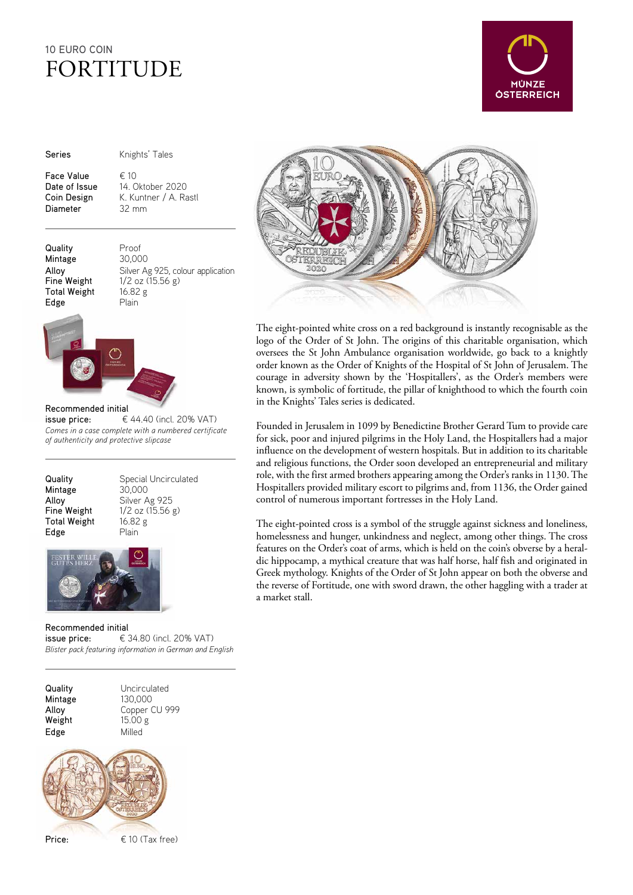# 10 EURO COIN FORTITUDE



Series **Knights' Tales** 

Face Value  $\epsilon$  10<br>Date of Issue 14.0 Diameter 32 mm

14. Oktober 2020 Coin Design K. Kuntner / A. Rastl

Quality Proof Mintage 30,000 Total Weight 16.82 g Edge Plain

Alloy Silver Ag 925, colour application<br>
Fine Weight 1/2 oz (15.56 g)  $1/2$  oz (15.56 g)



### Recommended initial

issue price:  $\epsilon$  44.40 (incl. 20% VAT) *Comes in a case complete with a numbered certificate of authenticity and protective slipcase*

| Quality      |
|--------------|
| Mintage      |
| Alloy        |
| Fine Weight  |
| Total Weight |
| Edge         |

Special Uncirculated 30,000 Silver Ag 925  $1/2$  oz (15.56 g)  $t = 16.82 g$ Plain



### Recommended initial

issue price:  $\epsilon$  34.80 (incl. 20% VAT) *Blister pack featuring information in German and English* 







The eight-pointed white cross on a red background is instantly recognisable as the logo of the Order of St John. The origins of this charitable organisation, which oversees the St John Ambulance organisation worldwide, go back to a knightly order known as the Order of Knights of the Hospital of St John of Jerusalem. The courage in adversity shown by the 'Hospitallers', as the Order's members were known, is symbolic of fortitude, the pillar of knighthood to which the fourth coin in the Knights' Tales series is dedicated.

Founded in Jerusalem in 1099 by Benedictine Brother Gerard Tum to provide care for sick, poor and injured pilgrims in the Holy Land, the Hospitallers had a major influence on the development of western hospitals. But in addition to its charitable and religious functions, the Order soon developed an entrepreneurial and military role, with the first armed brothers appearing among the Order's ranks in 1130. The Hospitallers provided military escort to pilgrims and, from 1136, the Order gained control of numerous important fortresses in the Holy Land.

The eight-pointed cross is a symbol of the struggle against sickness and loneliness, homelessness and hunger, unkindness and neglect, among other things. The cross features on the Order's coat of arms, which is held on the coin's obverse by a heraldic hippocamp, a mythical creature that was half horse, half fish and originated in Greek mythology. Knights of the Order of St John appear on both the obverse and the reverse of Fortitude, one with sword drawn, the other haggling with a trader at a market stall.